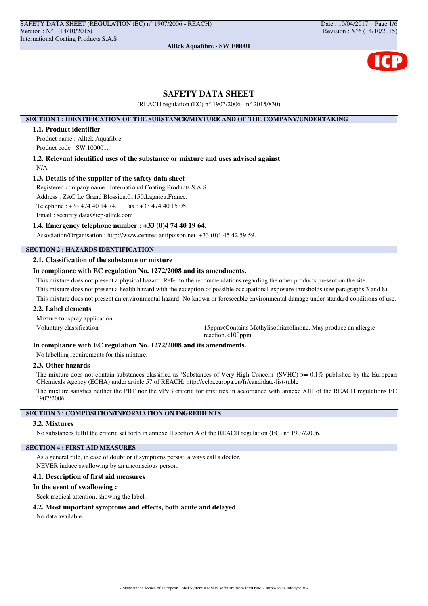# **SAFETY DATA SHEET**

(REACH regulation (EC) n° 1907/2006 - n° 2015/830)

### **SECTION 1 : IDENTIFICATION OF THE SUBSTANCE/MIXTURE AND OF THE COMPANY/UNDERTAKING**

# **1.1. Product identifier**

Product name : Alltek Aquafibre Product code : SW 100001.

**1.2. Relevant identified uses of the substance or mixture and uses advised against** N/A

## **1.3. Details of the supplier of the safety data sheet**

Registered company name : International Coating Products S.A.S. Address : ZAC Le Grand Blossieu.01150.Lagnieu.France. Telephone : +33 474 40 14 74. Fax : +33 474 40 15 05. Email : security.data@icp-alltek.com

### **1.4. Emergency telephone number : +33 (0)4 74 40 19 64.**

Association/Organisation : http://www.centres-antipoison.net +33 (0)1 45 42 59 59.

# **SECTION 2 : HAZARDS IDENTIFICATION**

# **2.1. Classification of the substance or mixture**

# **In compliance with EC regulation No. 1272/2008 and its amendments.**

This mixture does not present a physical hazard. Refer to the recommendations regarding the other products present on the site. This mixture does not present a health hazard with the exception of possible occupational exposure thresholds (see paragraphs 3 and 8). This mixture does not present an environmental hazard. No known or foreseeable environmental damage under standard conditions of use.

## **2.2. Label elements**

Mixture for spray application.

Voluntary classification 15ppm<Contains Methylisothiazolinone. May produce an allergic reaction.<100ppm

# **In compliance with EC regulation No. 1272/2008 and its amendments.**

No labelling requirements for this mixture.

# **2.3. Other hazards**

The mixture does not contain substances classified as 'Substances of Very High Concern' (SVHC) >= 0.1% published by the European CHemicals Agency (ECHA) under article 57 of REACH: http://echa.europa.eu/fr/candidate-list-table

The mixture satisfies neither the PBT nor the vPvB criteria for mixtures in accordance with annexe XIII of the REACH regulations EC 1907/2006.

# **SECTION 3 : COMPOSITION/INFORMATION ON INGREDIENTS**

## **3.2. Mixtures**

No substances fulfil the criteria set forth in annexe II section A of the REACH regulation (EC) n° 1907/2006.

# **SECTION 4 : FIRST AID MEASURES**

As a general rule, in case of doubt or if symptoms persist, always call a doctor.

NEVER induce swallowing by an unconscious person.

# **4.1. Description of first aid measures**

#### **In the event of swallowing :**

Seek medical attention, showing the label.

# **4.2. Most important symptoms and effects, both acute and delayed**

No data available.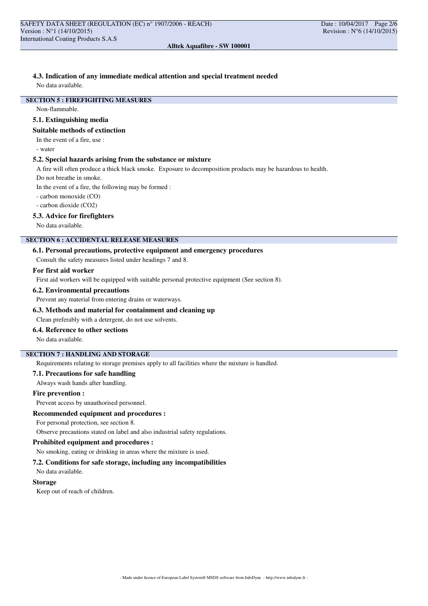# **4.3. Indication of any immediate medical attention and special treatment needed**

No data available.

# **SECTION 5 : FIREFIGHTING MEASURES**

Non-flammable.

### **5.1. Extinguishing media**

# **Suitable methods of extinction**

In the event of a fire, use :

- water

### **5.2. Special hazards arising from the substance or mixture**

A fire will often produce a thick black smoke. Exposure to decomposition products may be hazardous to health.

Do not breathe in smoke.

In the event of a fire, the following may be formed :

- carbon monoxide (CO)

- carbon dioxide (CO2)

## **5.3. Advice for firefighters**

No data available.

# **SECTION 6 : ACCIDENTAL RELEASE MEASURES**

## **6.1. Personal precautions, protective equipment and emergency procedures**

Consult the safety measures listed under headings 7 and 8.

### **For first aid worker**

First aid workers will be equipped with suitable personal protective equipment (See section 8).

#### **6.2. Environmental precautions**

Prevent any material from entering drains or waterways.

## **6.3. Methods and material for containment and cleaning up**

Clean preferably with a detergent, do not use solvents.

# **6.4. Reference to other sections**

No data available.

# **SECTION 7 : HANDLING AND STORAGE**

Requirements relating to storage premises apply to all facilities where the mixture is handled.

# **7.1. Precautions for safe handling**

Always wash hands after handling.

#### **Fire prevention :**

Prevent access by unauthorised personnel.

### **Recommended equipment and procedures :**

For personal protection, see section 8.

Observe precautions stated on label and also industrial safety regulations.

#### **Prohibited equipment and procedures :**

No smoking, eating or drinking in areas where the mixture is used.

## **7.2. Conditions for safe storage, including any incompatibilities**

No data available.

#### **Storage**

Keep out of reach of children.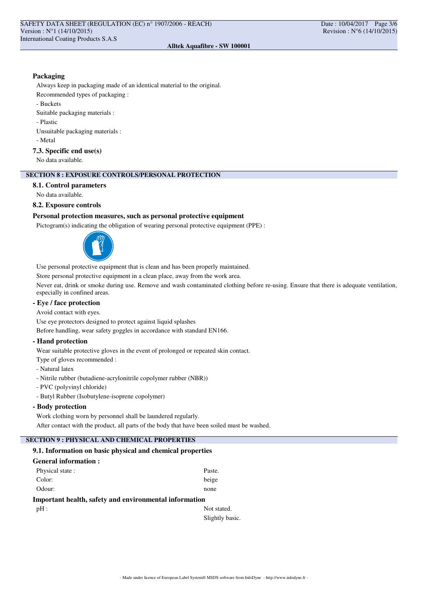# **Packaging**

Always keep in packaging made of an identical material to the original.

Recommended types of packaging :

- Buckets

Suitable packaging materials :

- Plastic

Unsuitable packaging materials :

- Metal

# **7.3. Specific end use(s)**

No data available.

# **SECTION 8 : EXPOSURE CONTROLS/PERSONAL PROTECTION**

## **8.1. Control parameters**

No data available.

# **8.2. Exposure controls**

# **Personal protection measures, such as personal protective equipment**

Pictogram(s) indicating the obligation of wearing personal protective equipment (PPE) :



Use personal protective equipment that is clean and has been properly maintained.

Store personal protective equipment in a clean place, away from the work area.

Never eat, drink or smoke during use. Remove and wash contaminated clothing before re-using. Ensure that there is adequate ventilation, especially in confined areas.

# **- Eye / face protection**

Avoid contact with eyes.

Use eye protectors designed to protect against liquid splashes

Before handling, wear safety goggles in accordance with standard EN166.

## **- Hand protection**

Wear suitable protective gloves in the event of prolonged or repeated skin contact.

Type of gloves recommended :

- Natural latex
- Nitrile rubber (butadiene-acrylonitrile copolymer rubber (NBR))
- PVC (polyvinyl chloride)
- Butyl Rubber (Isobutylene-isoprene copolymer)

# **- Body protection**

Work clothing worn by personnel shall be laundered regularly. After contact with the product, all parts of the body that have been soiled must be washed.

# **SECTION 9 : PHYSICAL AND CHEMICAL PROPERTIES**

# **9.1. Information on basic physical and chemical properties**

| <b>General information :</b>                           |             |
|--------------------------------------------------------|-------------|
| Physical state:                                        | Paste.      |
| Color:                                                 | beige       |
| Odour:                                                 | none        |
| Important health, safety and environmental information |             |
| $pH$ :                                                 | Not stated. |

Slightly basic.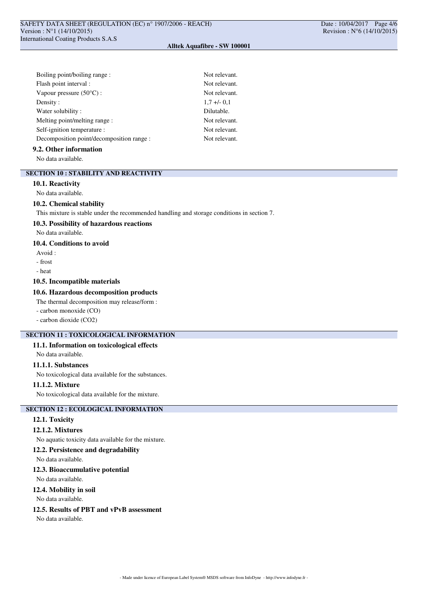| Boiling point/boiling range:              | Not relevant. |
|-------------------------------------------|---------------|
| Flash point interval :                    | Not relevant. |
| Vapour pressure $(50^{\circ}$ C) :        | Not relevant. |
| Density:                                  | $1.7 + -0.1$  |
| Water solubility:                         | Dilutable.    |
| Melting point/melting range:              | Not relevant. |
| Self-ignition temperature :               | Not relevant. |
| Decomposition point/decomposition range : | Not relevant. |

#### **9.2. Other information**

No data available.

## **SECTION 10 : STABILITY AND REACTIVITY**

#### **10.1. Reactivity**

No data available.

#### **10.2. Chemical stability**

This mixture is stable under the recommended handling and storage conditions in section 7.

### **10.3. Possibility of hazardous reactions**

No data available.

# **10.4. Conditions to avoid**

- Avoid :
- frost
- heat

# **10.5. Incompatible materials**

## **10.6. Hazardous decomposition products**

The thermal decomposition may release/form :

- carbon monoxide (CO)
- carbon dioxide (CO2)

# **SECTION 11 : TOXICOLOGICAL INFORMATION**

#### **11.1. Information on toxicological effects**

No data available.

# **11.1.1. Substances**

No toxicological data available for the substances.

### **11.1.2. Mixture**

No toxicological data available for the mixture.

## **SECTION 12 : ECOLOGICAL INFORMATION**

#### **12.1. Toxicity**

## **12.1.2. Mixtures**

No aquatic toxicity data available for the mixture.

## **12.2. Persistence and degradability**

No data available.

#### **12.3. Bioaccumulative potential**

No data available.

#### **12.4. Mobility in soil**

No data available.

## **12.5. Results of PBT and vPvB assessment**

No data available.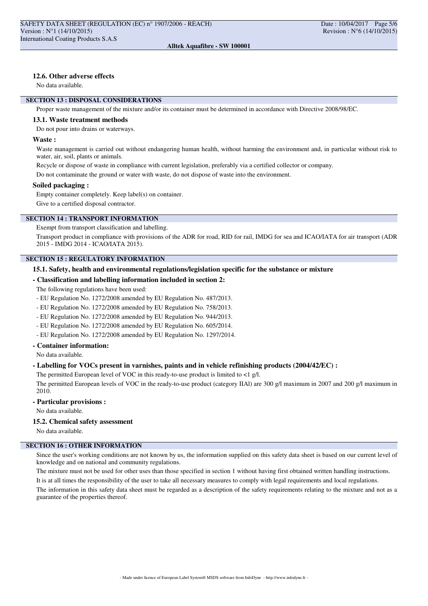# **12.6. Other adverse effects**

No data available.

# **SECTION 13 : DISPOSAL CONSIDERATIONS**

Proper waste management of the mixture and/or its container must be determined in accordance with Directive 2008/98/EC.

#### **13.1. Waste treatment methods**

Do not pour into drains or waterways.

#### **Waste :**

Waste management is carried out without endangering human health, without harming the environment and, in particular without risk to water, air, soil, plants or animals.

Recycle or dispose of waste in compliance with current legislation, preferably via a certified collector or company.

Do not contaminate the ground or water with waste, do not dispose of waste into the environment.

#### **Soiled packaging :**

Empty container completely. Keep label(s) on container.

Give to a certified disposal contractor.

# **SECTION 14 : TRANSPORT INFORMATION**

Exempt from transport classification and labelling.

Transport product in compliance with provisions of the ADR for road, RID for rail, IMDG for sea and ICAO/IATA for air transport (ADR 2015 - IMDG 2014 - ICAO/IATA 2015).

# **SECTION 15 : REGULATORY INFORMATION**

### **15.1. Safety, health and environmental regulations/legislation specific for the substance or mixture**

#### **- Classification and labelling information included in section 2:**

The following regulations have been used:

- EU Regulation No. 1272/2008 amended by EU Regulation No. 487/2013.
- EU Regulation No. 1272/2008 amended by EU Regulation No. 758/2013.
- EU Regulation No. 1272/2008 amended by EU Regulation No. 944/2013.
- EU Regulation No. 1272/2008 amended by EU Regulation No. 605/2014.
- EU Regulation No. 1272/2008 amended by EU Regulation No. 1297/2014.

## **- Container information:**

No data available.

## **- Labelling for VOCs present in varnishes, paints and in vehicle refinishing products (2004/42/EC) :**

The permitted European level of VOC in this ready-to-use product is limited to  $\langle 1 \text{ g/l.} \rangle$ 

The permitted European levels of VOC in the ready-to-use product (category IIAl) are 300 g/l maximum in 2007 and 200 g/l maximum in 2010.

### **- Particular provisions :**

No data available.

### **15.2. Chemical safety assessment**

No data available.

# **SECTION 16 : OTHER INFORMATION**

Since the user's working conditions are not known by us, the information supplied on this safety data sheet is based on our current level of knowledge and on national and community regulations.

The mixture must not be used for other uses than those specified in section 1 without having first obtained written handling instructions. It is at all times the responsibility of the user to take all necessary measures to comply with legal requirements and local regulations.

The information in this safety data sheet must be regarded as a description of the safety requirements relating to the mixture and not as a guarantee of the properties thereof.